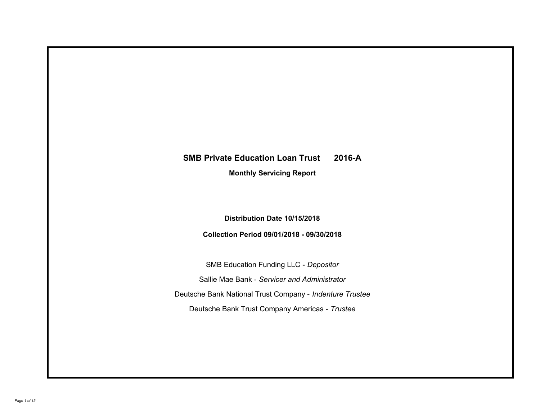# **SMB Private Education Loan Trust 2016-A**

**Monthly Servicing Report**

**Distribution Date 10/15/2018**

**Collection Period 09/01/2018 - 09/30/2018**

SMB Education Funding LLC - *Depositor* Sallie Mae Bank - *Servicer and Administrator* Deutsche Bank National Trust Company - *Indenture Trustee* Deutsche Bank Trust Company Americas - *Trustee*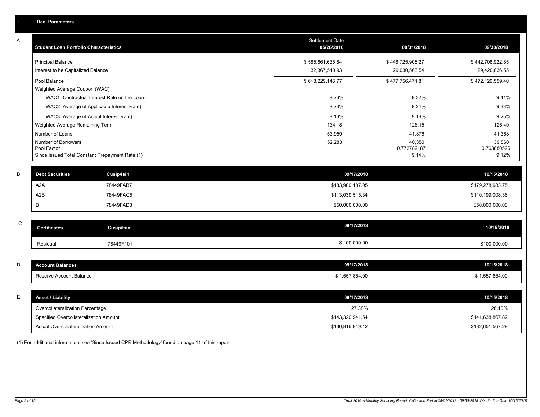| Ъ. | <b>Deal Parameters</b>                                                                |                                   |                                   |                                   |
|----|---------------------------------------------------------------------------------------|-----------------------------------|-----------------------------------|-----------------------------------|
| A  | <b>Student Loan Portfolio Characteristics</b>                                         | Settlement Date<br>05/26/2016     | 08/31/2018                        | 09/30/2018                        |
|    | <b>Principal Balance</b><br>Interest to be Capitalized Balance                        | \$585,861,635.84<br>32,367,510.93 | \$448,725,905.27<br>29,030,566.54 | \$442,708,922.85<br>29,420,636.55 |
|    | Pool Balance<br>Weighted Average Coupon (WAC)                                         | \$618,229,146.77                  | \$477,756,471.81                  | \$472,129,559.40                  |
|    | WAC1 (Contractual Interest Rate on the Loan)                                          | 8.26%                             | 9.32%                             | 9.41%                             |
|    | WAC2 (Average of Applicable Interest Rate)                                            | 8.23%                             | 9.24%                             | 9.33%                             |
|    | WAC3 (Average of Actual Interest Rate)<br>Weighted Average Remaining Term             | 8.16%<br>134.18                   | 9.16%<br>126.15                   | 9.25%<br>126.40                   |
|    | Number of Loans                                                                       | 53,959                            | 41,876                            | 41,368                            |
|    | Number of Borrowers<br>Pool Factor<br>Since Issued Total Constant Prepayment Rate (1) | 52,283                            | 40,350<br>0.772782187<br>9.14%    | 39,860<br>0.763680525<br>9.12%    |
| B  | <b>Debt Securities</b><br><b>Cusip/Isin</b>                                           | 09/17/2018                        |                                   | 10/15/2018                        |
|    | A <sub>2</sub> A<br>78449FAB7                                                         | \$183,900,107.05                  |                                   | \$179,278,983.75                  |
|    | A2B<br>78449FAC5                                                                      | \$113,039,515.34                  |                                   | \$110,199,008.36                  |
|    | B<br>78449FAD3                                                                        | \$50,000,000.00                   |                                   | \$50,000,000.00                   |
| C  | <b>Certificates</b><br><b>Cusip/Isin</b>                                              | 09/17/2018                        |                                   | 10/15/2018                        |
|    | 78449F101<br>Residual                                                                 | \$100,000.00                      |                                   | \$100,000.00                      |
| D  | <b>Account Balances</b>                                                               | 09/17/2018                        |                                   | 10/15/2018                        |
|    | Reserve Account Balance                                                               | \$1,557,854.00                    |                                   | \$1,557,854.00                    |
| E  | <b>Asset / Liability</b>                                                              | 09/17/2018                        |                                   | 10/15/2018                        |
|    | Overcollateralization Percentage                                                      | 27.38%                            |                                   | 28.10%                            |
|    | Specified Overcollateralization Amount                                                | \$143,326,941.54                  |                                   | \$141,638,867.82                  |
|    | Actual Overcollateralization Amount                                                   | \$130,816,849.42                  |                                   | \$132,651,567.29                  |
|    |                                                                                       |                                   |                                   |                                   |

(1) For additional information, see 'Since Issued CPR Methodology' found on page 11 of this report.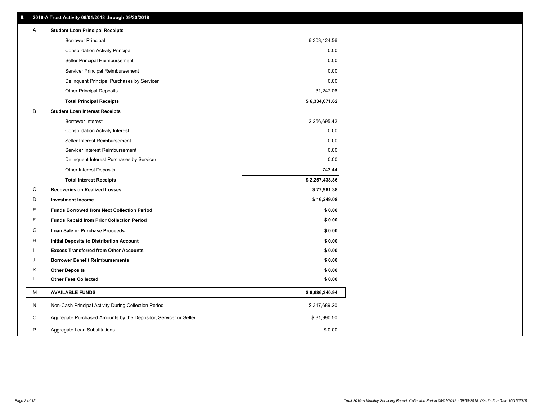| A  | <b>Student Loan Principal Receipts</b>                           |                                                     |
|----|------------------------------------------------------------------|-----------------------------------------------------|
|    | <b>Borrower Principal</b>                                        | 6,303,424.56                                        |
|    | <b>Consolidation Activity Principal</b>                          | 0.00                                                |
|    | Seller Principal Reimbursement                                   | 0.00                                                |
|    | Servicer Principal Reimbursement                                 | 0.00                                                |
|    | Delinquent Principal Purchases by Servicer                       | 0.00                                                |
|    | <b>Other Principal Deposits</b>                                  | 31,247.06                                           |
|    | <b>Total Principal Receipts</b>                                  | \$6,334,671.62                                      |
| в  | <b>Student Loan Interest Receipts</b>                            |                                                     |
|    | <b>Borrower Interest</b>                                         | 2,256,695.42                                        |
|    | <b>Consolidation Activity Interest</b>                           | 0.00                                                |
|    | Seller Interest Reimbursement                                    | 0.00                                                |
|    | Servicer Interest Reimbursement                                  | 0.00                                                |
|    | Delinquent Interest Purchases by Servicer                        | 0.00                                                |
|    | <b>Other Interest Deposits</b>                                   | 743.44                                              |
|    | <b>Total Interest Receipts</b>                                   | \$2,257,438.86                                      |
| C  | <b>Recoveries on Realized Losses</b>                             | \$77,981.38                                         |
| D  | <b>Investment Income</b>                                         | \$16,249.08                                         |
| E. | <b>Funds Borrowed from Next Collection Period</b>                | \$0.00                                              |
| F  | <b>Funds Repaid from Prior Collection Period</b>                 | \$0.00                                              |
| G  | Loan Sale or Purchase Proceeds                                   | \$0.00                                              |
| н  | Initial Deposits to Distribution Account                         | \$0.00                                              |
|    | <b>Excess Transferred from Other Accounts</b>                    | \$0.00                                              |
| J  | <b>Borrower Benefit Reimbursements</b>                           | \$0.00                                              |
| Κ  | <b>Other Deposits</b>                                            | \$0.00                                              |
| Г  | <b>Other Fees Collected</b>                                      | \$0.00                                              |
| М  | <b>AVAILABLE FUNDS</b>                                           | \$8,686,340.94                                      |
| N  | Non-Cash Principal Activity During Collection Period             | \$317,689.20                                        |
| O  | Aggregate Purchased Amounts by the Depositor, Servicer or Seller | \$31,990.50                                         |
|    |                                                                  |                                                     |
|    |                                                                  | 2016-A Trust Activity 09/01/2018 through 09/30/2018 |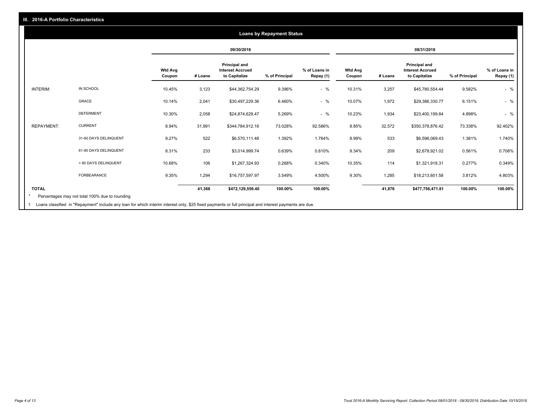#### **09/30/2018 08/31/2018 Wtd Avg Coupon # Loans Principal and Interest Accrued to Capitalize % of Principal % of Loans in Repay (1) Wtd Avg Coupon # Loans Principal and Interest Accrued to Capitalize % of Principal % of Loans in Repay (1)**  INTERIM: IN SCHOOL 10.45% 3,123 \$44,362,754.29 9.396% - % 10.31% 3,257 \$45,780,554.44 9.582% - % GRACE 10.14% 2,041 \$30,497,229.36 6.460% - % 10.07% 1,972 \$29,386,330.77 6.151% - % DEFERMENT 10.30% 2,058 \$24,874,629.47 5.269% - % 10.23% 1,934 \$23,400,199.84 4.898% - % REPAYMENT: CURRENT 8.94% 31,991 \$344,784,912.16 73.028% 92.586% 8.85% 32,572 \$350,378,876.42 73.338% 92.402% 31-60 DAYS DELINQUENT 9.27% 522 \$6,570,111.48 1.392% 1.764% 8.99% 533 \$6,596,069.43 1.381% 1.740% 61-90 DAYS DELINQUENT 8.31% 233 \$3,014,999.74 0.639% 0.810% 9.34% 209 \$2,678,921.02 0.561% 0.706% > 90 DAYS DELINQUENT 10.68% 106 \$1,267,324.93 0.268% 0.340% 10.35% 114 \$1,321,918.31 0.277% 0.349% FORBEARANCE 9.35% 1,294 \$16,757,597.97 3.549% 4.500% 9.30% 1,285 \$18,213,601.58 3.812% 4.803% **TOTAL 41,368 \$472,129,559.40 100.00% 100.00% 41,876 \$477,756,471.81 100.00% 100.00% Loans by Repayment Status** Percentages may not total 100% due to rounding \*

Loans classified in "Repayment" include any loan for which interim interest only, \$25 fixed payments or full principal and interest payments are due. 1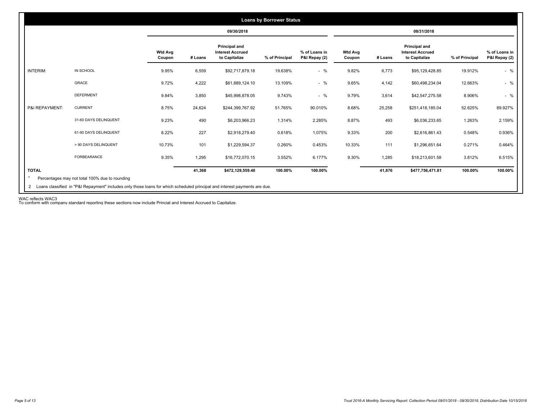|                 |                       |                          |         | 09/30/2018                                                |                |                                |                          |         | 08/31/2018                                                |                |                                |
|-----------------|-----------------------|--------------------------|---------|-----------------------------------------------------------|----------------|--------------------------------|--------------------------|---------|-----------------------------------------------------------|----------------|--------------------------------|
|                 |                       | <b>Wtd Avg</b><br>Coupon | # Loans | Principal and<br><b>Interest Accrued</b><br>to Capitalize | % of Principal | % of Loans in<br>P&I Repay (2) | <b>Wtd Avg</b><br>Coupon | # Loans | Principal and<br><b>Interest Accrued</b><br>to Capitalize | % of Principal | % of Loans in<br>P&I Repay (2) |
| <b>INTERIM:</b> | IN SCHOOL             | 9.95%                    | 6,559   | \$92,717,879.18                                           | 19.638%        | $-$ %                          | 9.82%                    | 6,773   | \$95,129,428.85                                           | 19.912%        | $-$ %                          |
|                 | GRACE                 | 9.72%                    | 4,222   | \$61,889,124.10                                           | 13.109%        | $-$ %                          | 9.65%                    | 4,142   | \$60,498,234.04                                           | 12.663%        | $-$ %                          |
|                 | <b>DEFERMENT</b>      | 9.84%                    | 3,850   | \$45,998,878.05                                           | 9.743%         | $-$ %                          | 9.79%                    | 3,614   | \$42,547,275.58                                           | 8.906%         | $-$ %                          |
| P&I REPAYMENT:  | <b>CURRENT</b>        | 8.75%                    | 24,624  | \$244,399,767.92                                          | 51.765%        | 90.010%                        | 8.68%                    | 25,258  | \$251,418,185.04                                          | 52.625%        | 89.927%                        |
|                 | 31-60 DAYS DELINQUENT | 9.23%                    | 490     | \$6,203,966.23                                            | 1.314%         | 2.285%                         | 8.87%                    | 493     | \$6,036,233.65                                            | 1.263%         | 2.159%                         |
|                 | 61-90 DAYS DELINQUENT | 8.22%                    | 227     | \$2,918,279.40                                            | 0.618%         | 1.075%                         | 9.33%                    | 200     | \$2,616,861.43                                            | 0.548%         | 0.936%                         |
|                 | > 90 DAYS DELINQUENT  | 10.73%                   | 101     | \$1,229,594.37                                            | 0.260%         | 0.453%                         | 10.33%                   | 111     | \$1,296,651.64                                            | 0.271%         | 0.464%                         |
|                 | FORBEARANCE           | 9.35%                    | 1,295   | \$16,772,070.15                                           | 3.552%         | 6.177%                         | 9.30%                    | 1,285   | \$18,213,601.58                                           | 3.812%         | 6.515%                         |
| <b>TOTAL</b>    |                       |                          | 41,368  | \$472,129,559.40                                          | 100.00%        | 100.00%                        |                          | 41,876  | \$477,756,471.81                                          | 100.00%        | 100.00%                        |

WAC reflects WAC3 To conform with company standard reporting these sections now include Princial and Interest Accrued to Capitalize.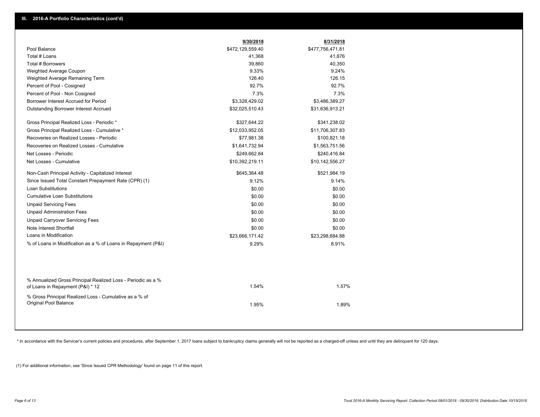|                                                                                                  | 9/30/2018        | 8/31/2018        |
|--------------------------------------------------------------------------------------------------|------------------|------------------|
| Pool Balance                                                                                     | \$472,129,559.40 | \$477,756,471.81 |
| Total # Loans                                                                                    | 41,368           | 41,876           |
| Total # Borrowers                                                                                | 39,860           | 40,350           |
| Weighted Average Coupon                                                                          | 9.33%            | 9.24%            |
| Weighted Average Remaining Term                                                                  | 126.40           | 126.15           |
| Percent of Pool - Cosigned                                                                       | 92.7%            | 92.7%            |
| Percent of Pool - Non Cosigned                                                                   | 7.3%             | 7.3%             |
| Borrower Interest Accrued for Period                                                             | \$3,328,429.02   | \$3,486,389.27   |
| <b>Outstanding Borrower Interest Accrued</b>                                                     | \$32,025,510.43  | \$31,636,913.21  |
| Gross Principal Realized Loss - Periodic *                                                       | \$327,644.22     | \$341,238.02     |
| Gross Principal Realized Loss - Cumulative *                                                     | \$12,033,952.05  | \$11,706,307.83  |
| Recoveries on Realized Losses - Periodic                                                         | \$77,981.38      | \$100,821.18     |
| Recoveries on Realized Losses - Cumulative                                                       | \$1,641,732.94   | \$1,563,751.56   |
| Net Losses - Periodic                                                                            | \$249,662.84     | \$240,416.84     |
| Net Losses - Cumulative                                                                          | \$10,392,219.11  | \$10,142,556.27  |
| Non-Cash Principal Activity - Capitalized Interest                                               | \$645,364.48     | \$521,984.19     |
| Since Issued Total Constant Prepayment Rate (CPR) (1)                                            | 9.12%            | 9.14%            |
| <b>Loan Substitutions</b>                                                                        | \$0.00           | \$0.00           |
| <b>Cumulative Loan Substitutions</b>                                                             | \$0.00           | \$0.00           |
| <b>Unpaid Servicing Fees</b>                                                                     | \$0.00           | \$0.00           |
| <b>Unpaid Administration Fees</b>                                                                | \$0.00           | \$0.00           |
| <b>Unpaid Carryover Servicing Fees</b>                                                           | \$0.00           | \$0.00           |
| Note Interest Shortfall                                                                          | \$0.00           | \$0.00           |
| Loans in Modification                                                                            | \$23,666,171.42  | \$23,298,684.88  |
| % of Loans in Modification as a % of Loans in Repayment (P&I)                                    | 9.29%            | 8.91%            |
|                                                                                                  |                  |                  |
| % Annualized Gross Principal Realized Loss - Periodic as a %<br>of Loans in Repayment (P&I) * 12 | 1.54%            | 1.57%            |
| % Gross Principal Realized Loss - Cumulative as a % of<br>Original Pool Balance                  | 1.95%            | 1.89%            |

\* In accordance with the Servicer's current policies and procedures, after September 1, 2017 loans subject to bankruptcy claims generally will not be reported as a charged-off unless and until they are delinquent for 120 d

(1) For additional information, see 'Since Issued CPR Methodology' found on page 11 of this report.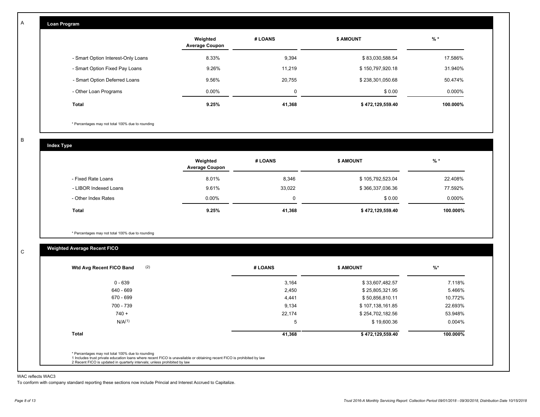| Loan Program                       |                                   |             |                  |          |
|------------------------------------|-----------------------------------|-------------|------------------|----------|
|                                    | Weighted<br><b>Average Coupon</b> | # LOANS     | <b>\$ AMOUNT</b> | $%$ *    |
| - Smart Option Interest-Only Loans | 8.33%                             | 9,394       | \$83,030,588.54  | 17.586%  |
| - Smart Option Fixed Pay Loans     | 9.26%                             | 11,219      | \$150,797,920.18 | 31.940%  |
| - Smart Option Deferred Loans      | 9.56%                             | 20,755      | \$238,301,050.68 | 50.474%  |
| - Other Loan Programs              | 0.00%                             | $\mathbf 0$ | \$0.00           | 0.000%   |
| Total                              | 9.25%                             | 41,368      | \$472,129,559.40 | 100.000% |

\* Percentages may not total 100% due to rounding

B

C

A

| <b>Index Type</b>     |                                   |          |                  |          |
|-----------------------|-----------------------------------|----------|------------------|----------|
|                       | Weighted<br><b>Average Coupon</b> | # LOANS  | <b>\$ AMOUNT</b> | $%$ *    |
| - Fixed Rate Loans    | 8.01%                             | 8,346    | \$105,792,523.04 | 22.408%  |
| - LIBOR Indexed Loans | 9.61%                             | 33,022   | \$366,337,036.36 | 77.592%  |
| - Other Index Rates   | $0.00\%$                          | $\Omega$ | \$0.00           | 0.000%   |
| <b>Total</b>          | 9.25%                             | 41,368   | \$472,129,559.40 | 100.000% |

\* Percentages may not total 100% due to rounding

# **Weighted Average Recent FICO**

| 0 - 639<br>640 - 669<br>670 - 699 | 3,164<br>2,450<br>4,441 | \$33,607,482.57<br>\$25,805,321.95 | 7.118%<br>5.466% |
|-----------------------------------|-------------------------|------------------------------------|------------------|
|                                   |                         |                                    |                  |
|                                   |                         |                                    |                  |
|                                   |                         | \$50,856,810.11                    | 10.772%          |
| 700 - 739                         | 9,134                   | \$107,138,161.85                   | 22.693%          |
| $740 +$                           | 22,174                  | \$254,702,182.56                   | 53.948%          |
| N/A <sup>(1)</sup>                | 5                       | \$19,600.36                        | $0.004\%$        |
| <b>Total</b>                      | 41,368                  | \$472,129,559.40                   | 100.000%         |

#### WAC reflects WAC3

To conform with company standard reporting these sections now include Princial and Interest Accrued to Capitalize.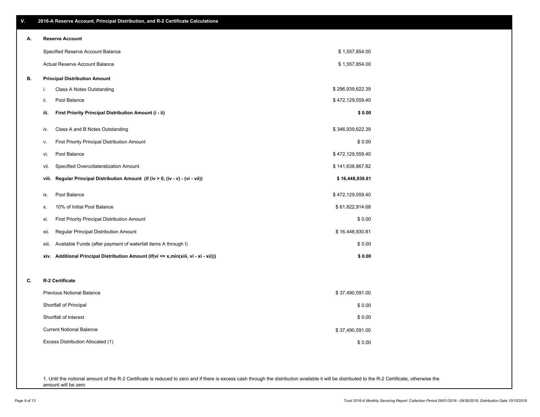| Α. | <b>Reserve Account</b>                                                               |                  |
|----|--------------------------------------------------------------------------------------|------------------|
|    | Specified Reserve Account Balance                                                    | \$1,557,854.00   |
|    | Actual Reserve Account Balance                                                       | \$1,557,854.00   |
| В. | <b>Principal Distribution Amount</b>                                                 |                  |
|    | Class A Notes Outstanding<br>i.                                                      | \$296,939,622.39 |
|    | Pool Balance<br>ii.                                                                  | \$472,129,559.40 |
|    | First Priority Principal Distribution Amount (i - ii)<br>iii.                        | \$0.00           |
|    | Class A and B Notes Outstanding<br>iv.                                               | \$346,939,622.39 |
|    | First Priority Principal Distribution Amount<br>v.                                   | \$0.00           |
|    | Pool Balance<br>vi.                                                                  | \$472,129,559.40 |
|    | Specified Overcollateralization Amount<br>vii.                                       | \$141,638,867.82 |
|    | viii. Regular Principal Distribution Amount (if (iv > 0, (iv - v) - (vi - vii))      | \$16,448,930.81  |
|    | Pool Balance<br>ix.                                                                  | \$472,129,559.40 |
|    | 10% of Initial Pool Balance<br>х.                                                    | \$61,822,914.68  |
|    | First Priority Principal Distribution Amount<br>xi.                                  | \$0.00           |
|    | Regular Principal Distribution Amount<br>xii.                                        | \$16,448,930.81  |
|    | Available Funds (after payment of waterfall items A through I)<br>xiii.              | \$0.00           |
|    | xiv. Additional Principal Distribution Amount (if(vi <= x,min(xiii, vi - xi - xii))) | \$0.00           |
|    |                                                                                      |                  |
| C. | R-2 Certificate                                                                      |                  |
|    | <b>Previous Notional Balance</b>                                                     | \$37,490,591.00  |
|    | Shortfall of Principal                                                               | \$0.00           |

1. Until the notional amount of the R-2 Certificate is reduced to zero and if there is excess cash through the distribution available it will be distributed to the R-2 Certificate, otherwise the

Excess Distribution Allocated (1)

Current Notional Balance

Shortfall of Interest

amount will be zero

### **V. 2016-A Reserve Account, Principal Distribution, and R-2 Certificate Calculations**

\$ 0.00

\$ 37,490,591.00

\$ 0.00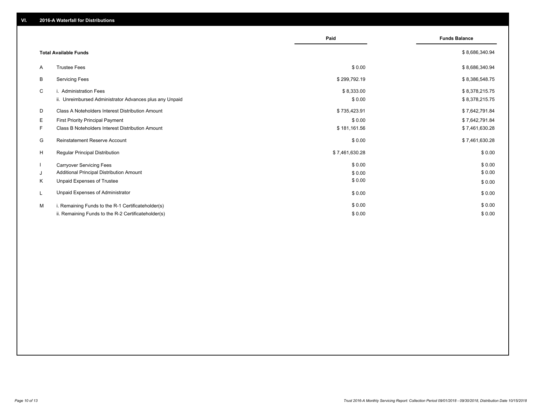|    |                                                         | Paid           | <b>Funds Balance</b> |
|----|---------------------------------------------------------|----------------|----------------------|
|    | <b>Total Available Funds</b>                            |                | \$8,686,340.94       |
| A  | <b>Trustee Fees</b>                                     | \$0.00         | \$8,686,340.94       |
| B  | <b>Servicing Fees</b>                                   | \$299,792.19   | \$8,386,548.75       |
| C  | i. Administration Fees                                  | \$8,333.00     | \$8,378,215.75       |
|    | ii. Unreimbursed Administrator Advances plus any Unpaid | \$0.00         | \$8,378,215.75       |
| D  | Class A Noteholders Interest Distribution Amount        | \$735,423.91   | \$7,642,791.84       |
| E. | <b>First Priority Principal Payment</b>                 | \$0.00         | \$7,642,791.84       |
| F  | Class B Noteholders Interest Distribution Amount        | \$181,161.56   | \$7,461,630.28       |
| G  | <b>Reinstatement Reserve Account</b>                    | \$0.00         | \$7,461,630.28       |
| H  | Regular Principal Distribution                          | \$7,461,630.28 | \$0.00               |
|    | <b>Carryover Servicing Fees</b>                         | \$0.00         | \$0.00               |
| J  | Additional Principal Distribution Amount                | \$0.00         | \$0.00               |
| Κ  | Unpaid Expenses of Trustee                              | \$0.00         | \$0.00               |
| L  | Unpaid Expenses of Administrator                        | \$0.00         | \$0.00               |
| M  | i. Remaining Funds to the R-1 Certificateholder(s)      | \$0.00         | \$0.00               |
|    | ii. Remaining Funds to the R-2 Certificateholder(s)     | \$0.00         | \$0.00               |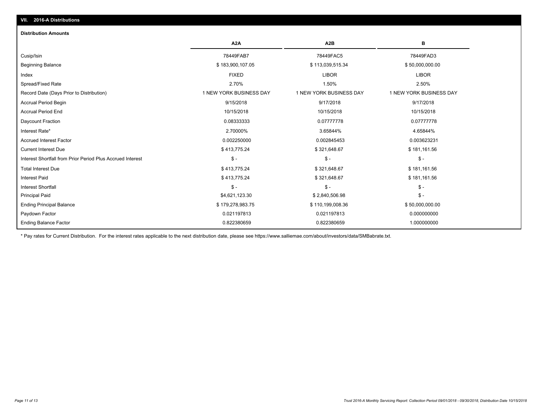# **VII. 2016-A Distributions**

#### **Distribution Amounts**

|                                                            | A <sub>2</sub> A        | A <sub>2</sub> B        | в                       |
|------------------------------------------------------------|-------------------------|-------------------------|-------------------------|
| Cusip/Isin                                                 | 78449FAB7               | 78449FAC5               | 78449FAD3               |
| <b>Beginning Balance</b>                                   | \$183,900,107.05        | \$113,039,515.34        | \$50,000,000.00         |
| Index                                                      | <b>FIXED</b>            | <b>LIBOR</b>            | <b>LIBOR</b>            |
| Spread/Fixed Rate                                          | 2.70%                   | 1.50%                   | 2.50%                   |
| Record Date (Days Prior to Distribution)                   | 1 NEW YORK BUSINESS DAY | 1 NEW YORK BUSINESS DAY | 1 NEW YORK BUSINESS DAY |
| <b>Accrual Period Begin</b>                                | 9/15/2018               | 9/17/2018               | 9/17/2018               |
| <b>Accrual Period End</b>                                  | 10/15/2018              | 10/15/2018              | 10/15/2018              |
| Daycount Fraction                                          | 0.08333333              | 0.07777778              | 0.07777778              |
| Interest Rate*                                             | 2.70000%                | 3.65844%                | 4.65844%                |
| <b>Accrued Interest Factor</b>                             | 0.002250000             | 0.002845453             | 0.003623231             |
| <b>Current Interest Due</b>                                | \$413,775.24            | \$321,648.67            | \$181,161.56            |
| Interest Shortfall from Prior Period Plus Accrued Interest | $\mathbb{S}$ -          | $S -$                   | $\frac{2}{3}$ -         |
| <b>Total Interest Due</b>                                  | \$413,775.24            | \$321,648.67            | \$181,161.56            |
| <b>Interest Paid</b>                                       | \$413,775.24            | \$321,648.67            | \$181,161.56            |
| <b>Interest Shortfall</b>                                  | $\mathbb{S}$ -          | $S -$                   | $\frac{2}{3}$ -         |
| <b>Principal Paid</b>                                      | \$4,621,123.30          | \$2,840,506.98          | $\frac{2}{3}$ -         |
| <b>Ending Principal Balance</b>                            | \$179,278,983.75        | \$110,199,008.36        | \$50,000,000.00         |
| Paydown Factor                                             | 0.021197813             | 0.021197813             | 0.000000000             |
| <b>Ending Balance Factor</b>                               | 0.822380659             | 0.822380659             | 1.000000000             |

\* Pay rates for Current Distribution. For the interest rates applicable to the next distribution date, please see https://www.salliemae.com/about/investors/data/SMBabrate.txt.